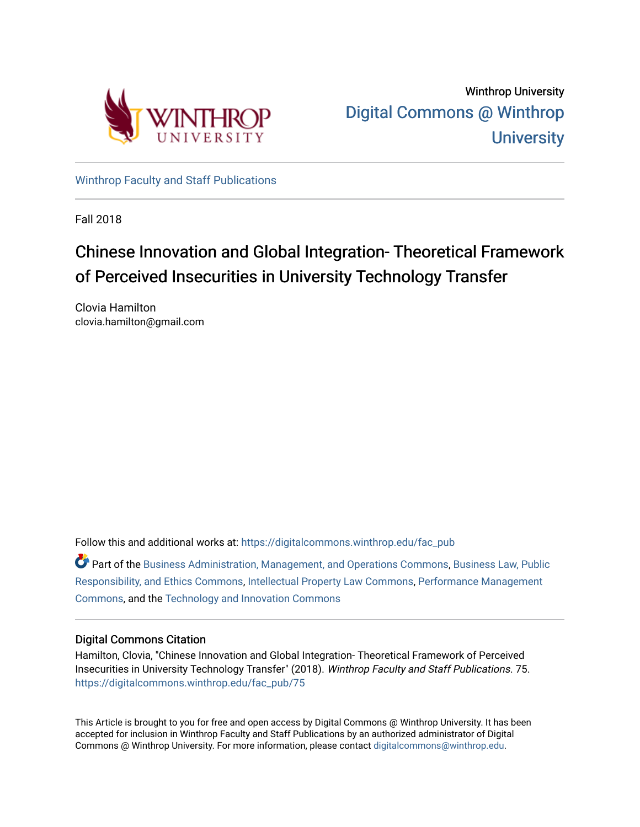

[Winthrop Faculty and Staff Publications](https://digitalcommons.winthrop.edu/fac_pub) 

Fall 2018

# Chinese Innovation and Global Integration- Theoretical Framework of Perceived Insecurities in University Technology Transfer

Clovia Hamilton clovia.hamilton@gmail.com

Follow this and additional works at: [https://digitalcommons.winthrop.edu/fac\\_pub](https://digitalcommons.winthrop.edu/fac_pub?utm_source=digitalcommons.winthrop.edu%2Ffac_pub%2F75&utm_medium=PDF&utm_campaign=PDFCoverPages)

Part of the [Business Administration, Management, and Operations Commons](http://network.bepress.com/hgg/discipline/623?utm_source=digitalcommons.winthrop.edu%2Ffac_pub%2F75&utm_medium=PDF&utm_campaign=PDFCoverPages), [Business Law, Public](http://network.bepress.com/hgg/discipline/628?utm_source=digitalcommons.winthrop.edu%2Ffac_pub%2F75&utm_medium=PDF&utm_campaign=PDFCoverPages) [Responsibility, and Ethics Commons,](http://network.bepress.com/hgg/discipline/628?utm_source=digitalcommons.winthrop.edu%2Ffac_pub%2F75&utm_medium=PDF&utm_campaign=PDFCoverPages) [Intellectual Property Law Commons,](http://network.bepress.com/hgg/discipline/896?utm_source=digitalcommons.winthrop.edu%2Ffac_pub%2F75&utm_medium=PDF&utm_campaign=PDFCoverPages) [Performance Management](http://network.bepress.com/hgg/discipline/1256?utm_source=digitalcommons.winthrop.edu%2Ffac_pub%2F75&utm_medium=PDF&utm_campaign=PDFCoverPages) [Commons](http://network.bepress.com/hgg/discipline/1256?utm_source=digitalcommons.winthrop.edu%2Ffac_pub%2F75&utm_medium=PDF&utm_campaign=PDFCoverPages), and the [Technology and Innovation Commons](http://network.bepress.com/hgg/discipline/644?utm_source=digitalcommons.winthrop.edu%2Ffac_pub%2F75&utm_medium=PDF&utm_campaign=PDFCoverPages) 

## Digital Commons Citation

Hamilton, Clovia, "Chinese Innovation and Global Integration- Theoretical Framework of Perceived Insecurities in University Technology Transfer" (2018). Winthrop Faculty and Staff Publications. 75. [https://digitalcommons.winthrop.edu/fac\\_pub/75](https://digitalcommons.winthrop.edu/fac_pub/75?utm_source=digitalcommons.winthrop.edu%2Ffac_pub%2F75&utm_medium=PDF&utm_campaign=PDFCoverPages) 

This Article is brought to you for free and open access by Digital Commons @ Winthrop University. It has been accepted for inclusion in Winthrop Faculty and Staff Publications by an authorized administrator of Digital Commons @ Winthrop University. For more information, please contact [digitalcommons@winthrop.edu.](mailto:digitalcommons@winthrop.edu)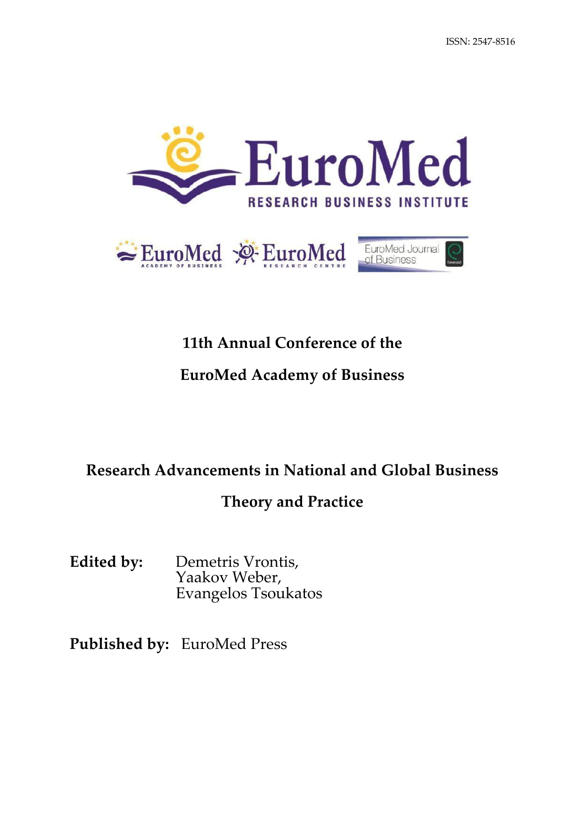



# **11th Annual Conference of the**

# **EuroMed Academy of Business**

# **Research Advancements in National and Global Business**

# **Theory and Practice**

**Edited by:** Demetris Vrontis, Yaakov Weber, Evangelos Tsoukatos

**Published by:** EuroMed Press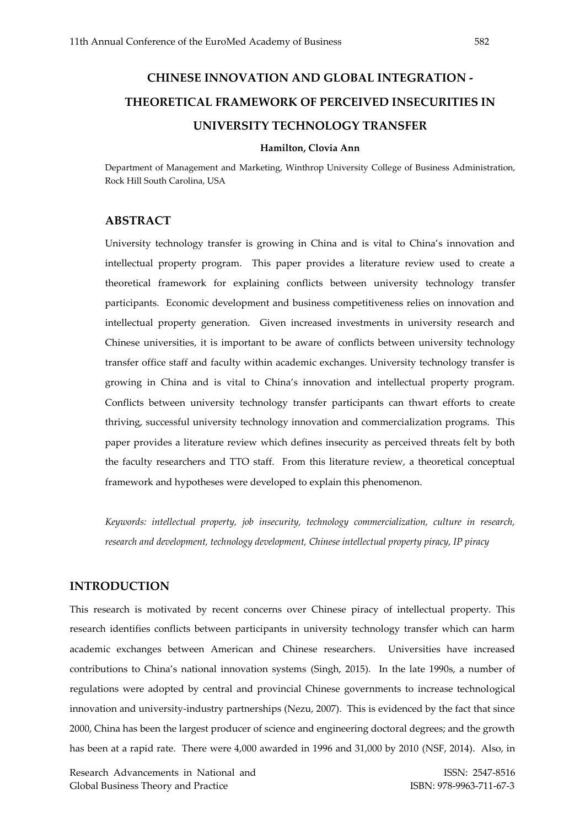# **CHINESE INNOVATION AND GLOBAL INTEGRATION - THEORETICAL FRAMEWORK OF PERCEIVED INSECURITIES IN UNIVERSITY TECHNOLOGY TRANSFER**

#### **Hamilton, Clovia Ann**

Department of Management and Marketing, Winthrop University College of Business Administration, Rock Hill South Carolina, USA

## **ABSTRACT**

University technology transfer is growing in China and is vital to China's innovation and intellectual property program. This paper provides a literature review used to create a theoretical framework for explaining conflicts between university technology transfer participants. Economic development and business competitiveness relies on innovation and intellectual property generation. Given increased investments in university research and Chinese universities, it is important to be aware of conflicts between university technology transfer office staff and faculty within academic exchanges. University technology transfer is growing in China and is vital to China's innovation and intellectual property program. Conflicts between university technology transfer participants can thwart efforts to create thriving, successful university technology innovation and commercialization programs. This paper provides a literature review which defines insecurity as perceived threats felt by both the faculty researchers and TTO staff. From this literature review, a theoretical conceptual framework and hypotheses were developed to explain this phenomenon.

*Keywords: intellectual property, job insecurity, technology commercialization, culture in research, research and development, technology development, Chinese intellectual property piracy, IP piracy* 

### **INTRODUCTION**

This research is motivated by recent concerns over Chinese piracy of intellectual property. This research identifies conflicts between participants in university technology transfer which can harm academic exchanges between American and Chinese researchers. Universities have increased contributions to China's national innovation systems (Singh, 2015). In the late 1990s, a number of regulations were adopted by central and provincial Chinese governments to increase technological innovation and university-industry partnerships (Nezu, 2007). This is evidenced by the fact that since 2000, China has been the largest producer of science and engineering doctoral degrees; and the growth has been at a rapid rate. There were 4,000 awarded in 1996 and 31,000 by 2010 (NSF, 2014). Also, in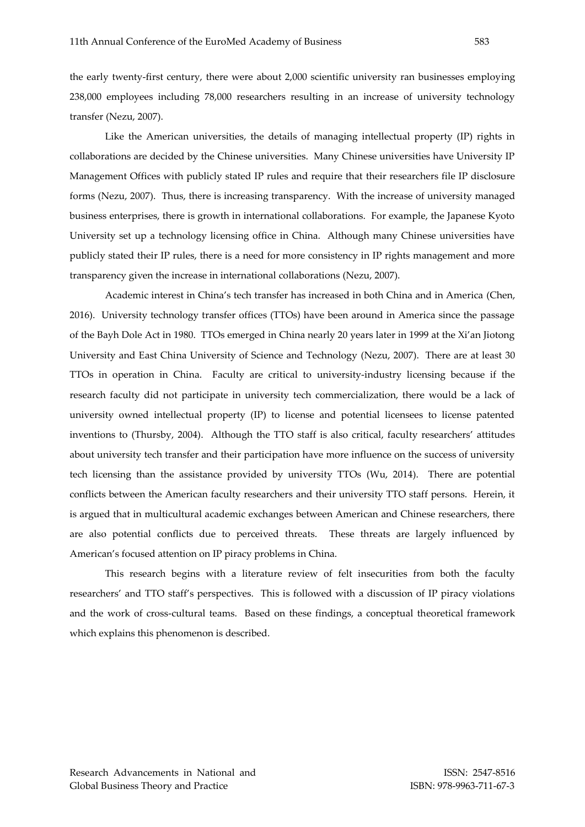the early twenty-first century, there were about 2,000 scientific university ran businesses employing 238,000 employees including 78,000 researchers resulting in an increase of university technology transfer (Nezu, 2007).

Like the American universities, the details of managing intellectual property (IP) rights in collaborations are decided by the Chinese universities. Many Chinese universities have University IP Management Offices with publicly stated IP rules and require that their researchers file IP disclosure forms (Nezu, 2007). Thus, there is increasing transparency. With the increase of university managed business enterprises, there is growth in international collaborations. For example, the Japanese Kyoto University set up a technology licensing office in China. Although many Chinese universities have publicly stated their IP rules, there is a need for more consistency in IP rights management and more transparency given the increase in international collaborations (Nezu, 2007).

Academic interest in China's tech transfer has increased in both China and in America (Chen, 2016). University technology transfer offices (TTOs) have been around in America since the passage of the Bayh Dole Act in 1980. TTOs emerged in China nearly 20 years later in 1999 at the Xi'an Jiotong University and East China University of Science and Technology (Nezu, 2007). There are at least 30 TTOs in operation in China. Faculty are critical to university-industry licensing because if the research faculty did not participate in university tech commercialization, there would be a lack of university owned intellectual property (IP) to license and potential licensees to license patented inventions to (Thursby, 2004). Although the TTO staff is also critical, faculty researchers' attitudes about university tech transfer and their participation have more influence on the success of university tech licensing than the assistance provided by university TTOs (Wu, 2014). There are potential conflicts between the American faculty researchers and their university TTO staff persons. Herein, it is argued that in multicultural academic exchanges between American and Chinese researchers, there are also potential conflicts due to perceived threats. These threats are largely influenced by American's focused attention on IP piracy problems in China.

This research begins with a literature review of felt insecurities from both the faculty researchers' and TTO staff's perspectives. This is followed with a discussion of IP piracy violations and the work of cross-cultural teams. Based on these findings, a conceptual theoretical framework which explains this phenomenon is described.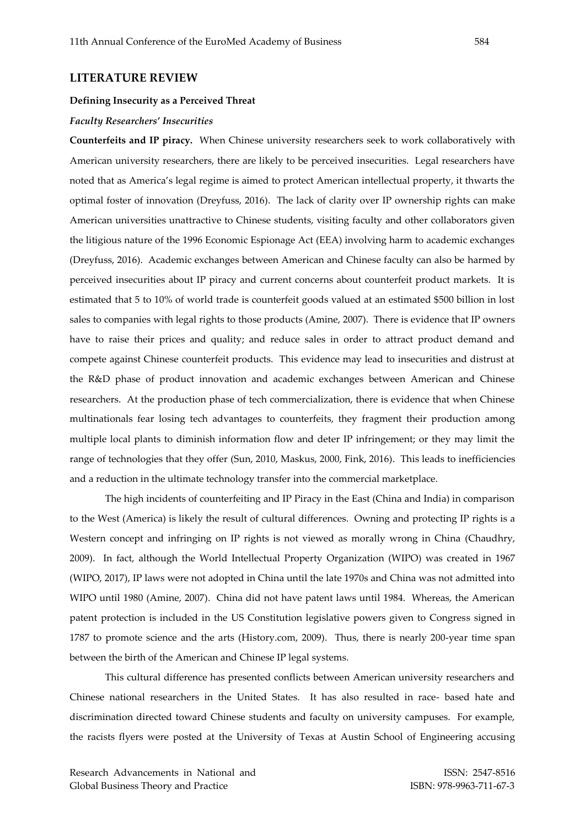#### **LITERATURE REVIEW**

### **Defining Insecurity as a Perceived Threat**

#### *Faculty Researchers' Insecurities*

**Counterfeits and IP piracy.** When Chinese university researchers seek to work collaboratively with American university researchers, there are likely to be perceived insecurities. Legal researchers have noted that as America's legal regime is aimed to protect American intellectual property, it thwarts the optimal foster of innovation (Dreyfuss, 2016). The lack of clarity over IP ownership rights can make American universities unattractive to Chinese students, visiting faculty and other collaborators given the litigious nature of the 1996 Economic Espionage Act (EEA) involving harm to academic exchanges (Dreyfuss, 2016). Academic exchanges between American and Chinese faculty can also be harmed by perceived insecurities about IP piracy and current concerns about counterfeit product markets. It is estimated that 5 to 10% of world trade is counterfeit goods valued at an estimated \$500 billion in lost sales to companies with legal rights to those products (Amine, 2007). There is evidence that IP owners have to raise their prices and quality; and reduce sales in order to attract product demand and compete against Chinese counterfeit products. This evidence may lead to insecurities and distrust at the R&D phase of product innovation and academic exchanges between American and Chinese researchers. At the production phase of tech commercialization, there is evidence that when Chinese multinationals fear losing tech advantages to counterfeits, they fragment their production among multiple local plants to diminish information flow and deter IP infringement; or they may limit the range of technologies that they offer (Sun, 2010, Maskus, 2000, Fink, 2016). This leads to inefficiencies and a reduction in the ultimate technology transfer into the commercial marketplace.

The high incidents of counterfeiting and IP Piracy in the East (China and India) in comparison to the West (America) is likely the result of cultural differences. Owning and protecting IP rights is a Western concept and infringing on IP rights is not viewed as morally wrong in China (Chaudhry, 2009). In fact, although the World Intellectual Property Organization (WIPO) was created in 1967 (WIPO, 2017), IP laws were not adopted in China until the late 1970s and China was not admitted into WIPO until 1980 (Amine, 2007). China did not have patent laws until 1984. Whereas, the American patent protection is included in the US Constitution legislative powers given to Congress signed in 1787 to promote science and the arts (History.com, 2009). Thus, there is nearly 200-year time span between the birth of the American and Chinese IP legal systems.

This cultural difference has presented conflicts between American university researchers and Chinese national researchers in the United States. It has also resulted in race- based hate and discrimination directed toward Chinese students and faculty on university campuses. For example, the racists flyers were posted at the University of Texas at Austin School of Engineering accusing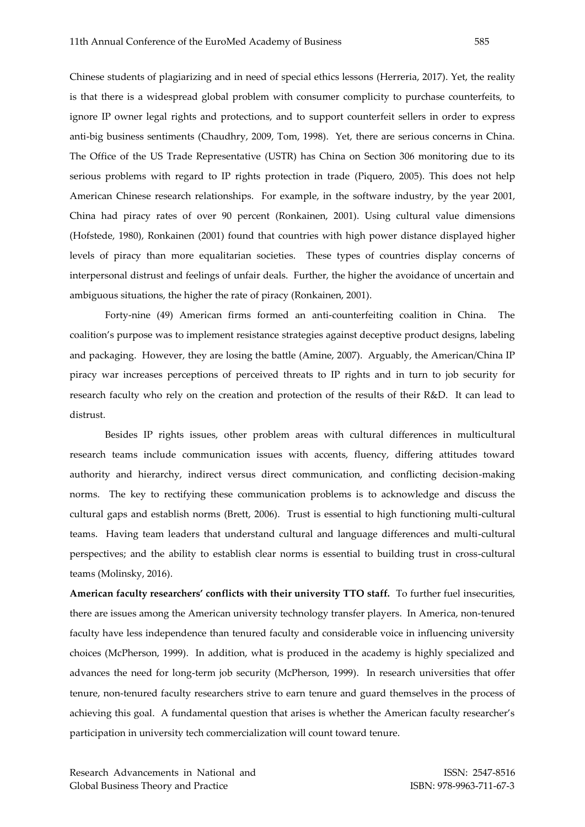Chinese students of plagiarizing and in need of special ethics lessons (Herreria, 2017). Yet, the reality is that there is a widespread global problem with consumer complicity to purchase counterfeits, to ignore IP owner legal rights and protections, and to support counterfeit sellers in order to express anti-big business sentiments (Chaudhry, 2009, Tom, 1998). Yet, there are serious concerns in China. The Office of the US Trade Representative (USTR) has China on Section 306 monitoring due to its serious problems with regard to IP rights protection in trade (Piquero, 2005). This does not help American Chinese research relationships. For example, in the software industry, by the year 2001, China had piracy rates of over 90 percent (Ronkainen, 2001). Using cultural value dimensions (Hofstede, 1980), Ronkainen (2001) found that countries with high power distance displayed higher levels of piracy than more equalitarian societies. These types of countries display concerns of interpersonal distrust and feelings of unfair deals. Further, the higher the avoidance of uncertain and ambiguous situations, the higher the rate of piracy (Ronkainen, 2001).

Forty-nine (49) American firms formed an anti-counterfeiting coalition in China. The coalition's purpose was to implement resistance strategies against deceptive product designs, labeling and packaging. However, they are losing the battle (Amine, 2007). Arguably, the American/China IP piracy war increases perceptions of perceived threats to IP rights and in turn to job security for research faculty who rely on the creation and protection of the results of their R&D. It can lead to distrust.

Besides IP rights issues, other problem areas with cultural differences in multicultural research teams include communication issues with accents, fluency, differing attitudes toward authority and hierarchy, indirect versus direct communication, and conflicting decision-making norms. The key to rectifying these communication problems is to acknowledge and discuss the cultural gaps and establish norms (Brett, 2006). Trust is essential to high functioning multi-cultural teams. Having team leaders that understand cultural and language differences and multi-cultural perspectives; and the ability to establish clear norms is essential to building trust in cross-cultural teams (Molinsky, 2016).

**American faculty researchers' conflicts with their university TTO staff.** To further fuel insecurities, there are issues among the American university technology transfer players. In America, non-tenured faculty have less independence than tenured faculty and considerable voice in influencing university choices (McPherson, 1999). In addition, what is produced in the academy is highly specialized and advances the need for long-term job security (McPherson, 1999). In research universities that offer tenure, non-tenured faculty researchers strive to earn tenure and guard themselves in the process of achieving this goal. A fundamental question that arises is whether the American faculty researcher's participation in university tech commercialization will count toward tenure.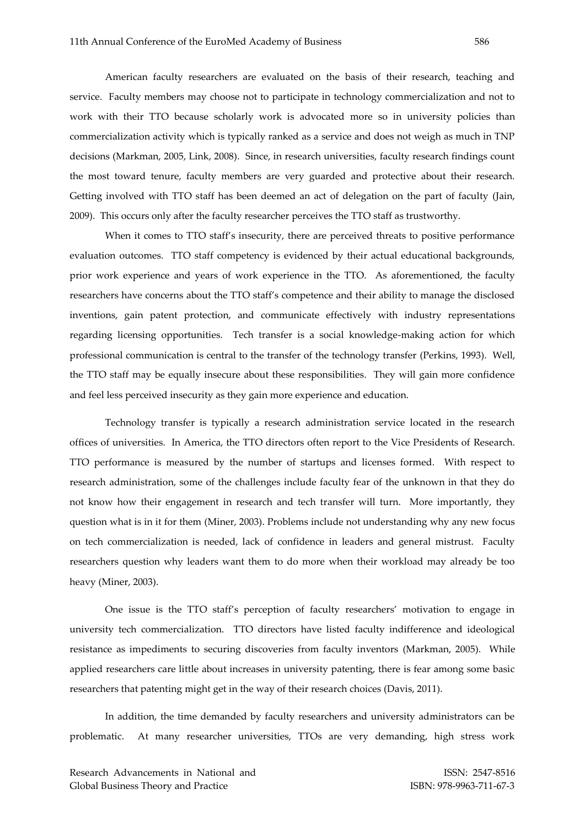American faculty researchers are evaluated on the basis of their research, teaching and service. Faculty members may choose not to participate in technology commercialization and not to work with their TTO because scholarly work is advocated more so in university policies than commercialization activity which is typically ranked as a service and does not weigh as much in TNP decisions (Markman, 2005, Link, 2008). Since, in research universities, faculty research findings count the most toward tenure, faculty members are very guarded and protective about their research. Getting involved with TTO staff has been deemed an act of delegation on the part of faculty (Jain, 2009). This occurs only after the faculty researcher perceives the TTO staff as trustworthy.

When it comes to TTO staff's insecurity, there are perceived threats to positive performance evaluation outcomes. TTO staff competency is evidenced by their actual educational backgrounds, prior work experience and years of work experience in the TTO. As aforementioned, the faculty researchers have concerns about the TTO staff's competence and their ability to manage the disclosed inventions, gain patent protection, and communicate effectively with industry representations regarding licensing opportunities. Tech transfer is a social knowledge-making action for which professional communication is central to the transfer of the technology transfer (Perkins, 1993). Well, the TTO staff may be equally insecure about these responsibilities. They will gain more confidence and feel less perceived insecurity as they gain more experience and education.

Technology transfer is typically a research administration service located in the research offices of universities. In America, the TTO directors often report to the Vice Presidents of Research. TTO performance is measured by the number of startups and licenses formed. With respect to research administration, some of the challenges include faculty fear of the unknown in that they do not know how their engagement in research and tech transfer will turn. More importantly, they question what is in it for them (Miner, 2003). Problems include not understanding why any new focus on tech commercialization is needed, lack of confidence in leaders and general mistrust. Faculty researchers question why leaders want them to do more when their workload may already be too heavy (Miner, 2003).

One issue is the TTO staff's perception of faculty researchers' motivation to engage in university tech commercialization. TTO directors have listed faculty indifference and ideological resistance as impediments to securing discoveries from faculty inventors (Markman, 2005). While applied researchers care little about increases in university patenting, there is fear among some basic researchers that patenting might get in the way of their research choices (Davis, 2011).

In addition, the time demanded by faculty researchers and university administrators can be problematic. At many researcher universities, TTOs are very demanding, high stress work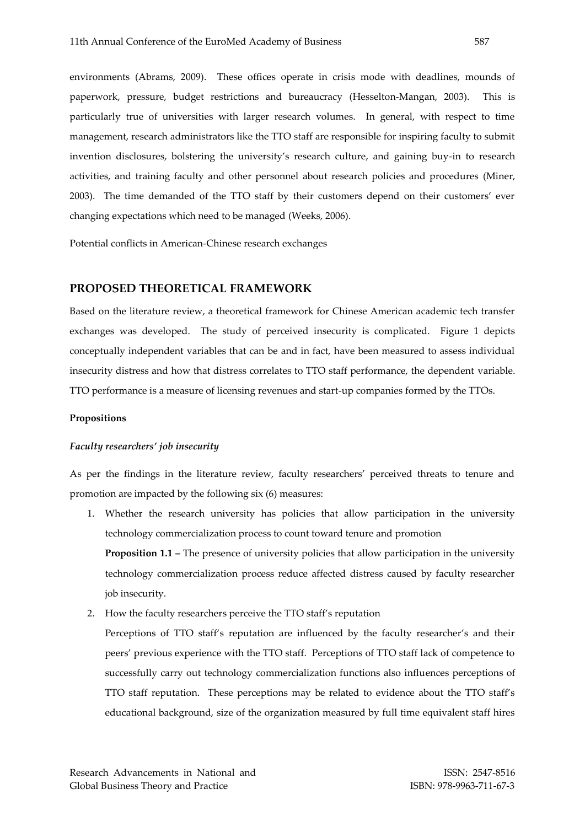environments (Abrams, 2009). These offices operate in crisis mode with deadlines, mounds of paperwork, pressure, budget restrictions and bureaucracy (Hesselton-Mangan, 2003). This is particularly true of universities with larger research volumes. In general, with respect to time management, research administrators like the TTO staff are responsible for inspiring faculty to submit invention disclosures, bolstering the university's research culture, and gaining buy-in to research activities, and training faculty and other personnel about research policies and procedures (Miner, 2003). The time demanded of the TTO staff by their customers depend on their customers' ever changing expectations which need to be managed (Weeks, 2006).

Potential conflicts in American-Chinese research exchanges

### **PROPOSED THEORETICAL FRAMEWORK**

Based on the literature review, a theoretical framework for Chinese American academic tech transfer exchanges was developed. The study of perceived insecurity is complicated. Figure 1 depicts conceptually independent variables that can be and in fact, have been measured to assess individual insecurity distress and how that distress correlates to TTO staff performance, the dependent variable. TTO performance is a measure of licensing revenues and start-up companies formed by the TTOs.

#### **Propositions**

#### *Faculty researchers' job insecurity*

As per the findings in the literature review, faculty researchers' perceived threats to tenure and promotion are impacted by the following six (6) measures:

- 1. Whether the research university has policies that allow participation in the university technology commercialization process to count toward tenure and promotion **Proposition 1.1 – The presence of university policies that allow participation in the university** technology commercialization process reduce affected distress caused by faculty researcher job insecurity.
- 2. How the faculty researchers perceive the TTO staff's reputation

Perceptions of TTO staff's reputation are influenced by the faculty researcher's and their peers' previous experience with the TTO staff. Perceptions of TTO staff lack of competence to successfully carry out technology commercialization functions also influences perceptions of TTO staff reputation. These perceptions may be related to evidence about the TTO staff's educational background, size of the organization measured by full time equivalent staff hires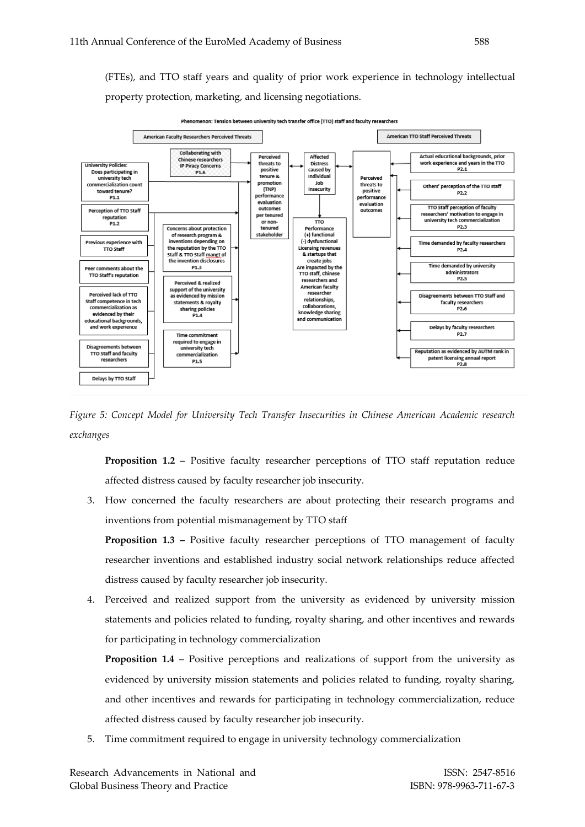(FTEs), and TTO staff years and quality of prior work experience in technology intellectual property protection, marketing, and licensing negotiations.



ion: Tension between university tech transfer office (TTO) staff and faculty researchers

*Figure 5: Concept Model for University Tech Transfer Insecurities in Chinese American Academic research exchanges* 

**Proposition 1.2 –** Positive faculty researcher perceptions of TTO staff reputation reduce affected distress caused by faculty researcher job insecurity.

3. How concerned the faculty researchers are about protecting their research programs and inventions from potential mismanagement by TTO staff

**Proposition 1.3 –** Positive faculty researcher perceptions of TTO management of faculty researcher inventions and established industry social network relationships reduce affected distress caused by faculty researcher job insecurity.

4. Perceived and realized support from the university as evidenced by university mission statements and policies related to funding, royalty sharing, and other incentives and rewards for participating in technology commercialization

**Proposition 1.4** – Positive perceptions and realizations of support from the university as evidenced by university mission statements and policies related to funding, royalty sharing, and other incentives and rewards for participating in technology commercialization, reduce affected distress caused by faculty researcher job insecurity.

5. Time commitment required to engage in university technology commercialization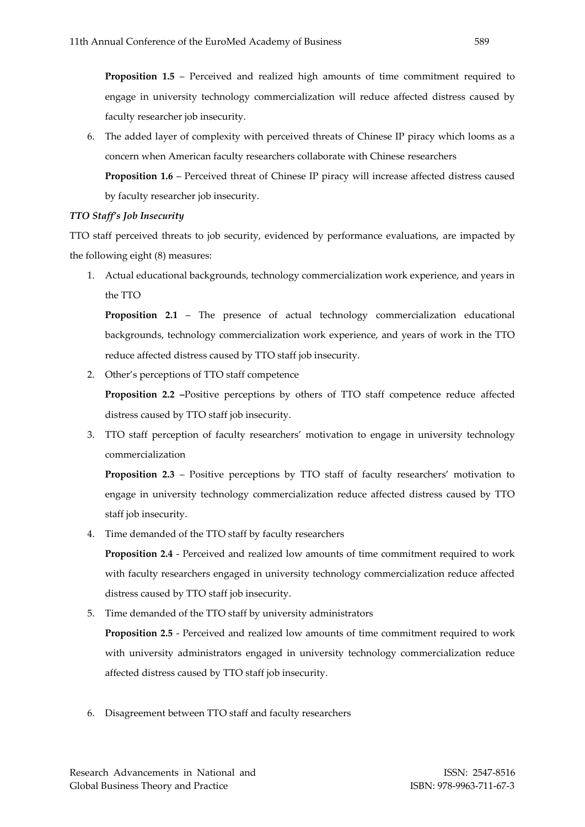**Proposition 1.5** – Perceived and realized high amounts of time commitment required to engage in university technology commercialization will reduce affected distress caused by faculty researcher job insecurity.

6. The added layer of complexity with perceived threats of Chinese IP piracy which looms as a concern when American faculty researchers collaborate with Chinese researchers **Proposition 1.6** – Perceived threat of Chinese IP piracy will increase affected distress caused by faculty researcher job insecurity.

### *TTO Staff's Job Insecurity*

TTO staff perceived threats to job security, evidenced by performance evaluations, are impacted by the following eight (8) measures:

1. Actual educational backgrounds, technology commercialization work experience, and years in the TTO

**Proposition 2.1** – The presence of actual technology commercialization educational backgrounds, technology commercialization work experience, and years of work in the TTO reduce affected distress caused by TTO staff job insecurity.

2. Other's perceptions of TTO staff competence

**Proposition 2.2 –**Positive perceptions by others of TTO staff competence reduce affected distress caused by TTO staff job insecurity.

3. TTO staff perception of faculty researchers' motivation to engage in university technology commercialization

**Proposition 2.3** – Positive perceptions by TTO staff of faculty researchers' motivation to engage in university technology commercialization reduce affected distress caused by TTO staff job insecurity.

4. Time demanded of the TTO staff by faculty researchers

**Proposition 2.4** - Perceived and realized low amounts of time commitment required to work with faculty researchers engaged in university technology commercialization reduce affected distress caused by TTO staff job insecurity.

5. Time demanded of the TTO staff by university administrators

**Proposition 2.5** - Perceived and realized low amounts of time commitment required to work with university administrators engaged in university technology commercialization reduce affected distress caused by TTO staff job insecurity.

6. Disagreement between TTO staff and faculty researchers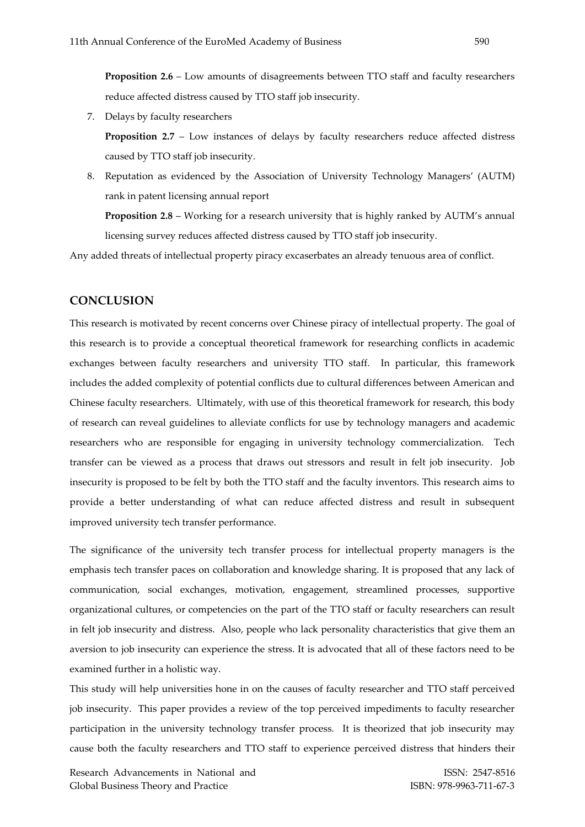**Proposition 2.6** – Low amounts of disagreements between TTO staff and faculty researchers reduce affected distress caused by TTO staff job insecurity.

7. Delays by faculty researchers

**Proposition 2.7** – Low instances of delays by faculty researchers reduce affected distress caused by TTO staff job insecurity.

8. Reputation as evidenced by the Association of University Technology Managers' (AUTM) rank in patent licensing annual report

**Proposition 2.8** – Working for a research university that is highly ranked by AUTM's annual licensing survey reduces affected distress caused by TTO staff job insecurity.

Any added threats of intellectual property piracy excaserbates an already tenuous area of conflict.

### **CONCLUSION**

This research is motivated by recent concerns over Chinese piracy of intellectual property. The goal of this research is to provide a conceptual theoretical framework for researching conflicts in academic exchanges between faculty researchers and university TTO staff. In particular, this framework includes the added complexity of potential conflicts due to cultural differences between American and Chinese faculty researchers. Ultimately, with use of this theoretical framework for research, this body of research can reveal guidelines to alleviate conflicts for use by technology managers and academic researchers who are responsible for engaging in university technology commercialization. Tech transfer can be viewed as a process that draws out stressors and result in felt job insecurity. Job insecurity is proposed to be felt by both the TTO staff and the faculty inventors. This research aims to provide a better understanding of what can reduce affected distress and result in subsequent improved university tech transfer performance.

The significance of the university tech transfer process for intellectual property managers is the emphasis tech transfer paces on collaboration and knowledge sharing. It is proposed that any lack of communication, social exchanges, motivation, engagement, streamlined processes, supportive organizational cultures, or competencies on the part of the TTO staff or faculty researchers can result in felt job insecurity and distress. Also, people who lack personality characteristics that give them an aversion to job insecurity can experience the stress. It is advocated that all of these factors need to be examined further in a holistic way.

This study will help universities hone in on the causes of faculty researcher and TTO staff perceived job insecurity. This paper provides a review of the top perceived impediments to faculty researcher participation in the university technology transfer process. It is theorized that job insecurity may cause both the faculty researchers and TTO staff to experience perceived distress that hinders their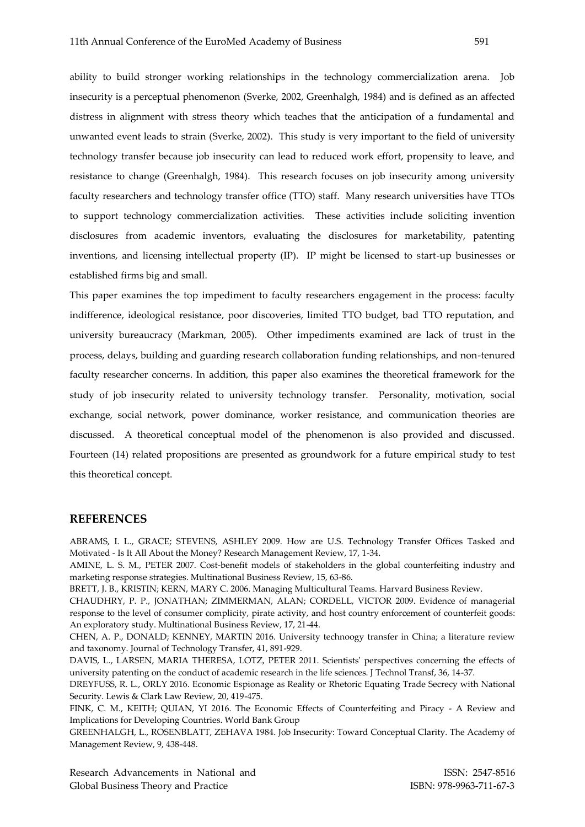ability to build stronger working relationships in the technology commercialization arena. Job insecurity is a perceptual phenomenon (Sverke, 2002, Greenhalgh, 1984) and is defined as an affected distress in alignment with stress theory which teaches that the anticipation of a fundamental and unwanted event leads to strain (Sverke, 2002). This study is very important to the field of university technology transfer because job insecurity can lead to reduced work effort, propensity to leave, and resistance to change (Greenhalgh, 1984). This research focuses on job insecurity among university faculty researchers and technology transfer office (TTO) staff. Many research universities have TTOs to support technology commercialization activities. These activities include soliciting invention disclosures from academic inventors, evaluating the disclosures for marketability, patenting inventions, and licensing intellectual property (IP). IP might be licensed to start-up businesses or established firms big and small.

This paper examines the top impediment to faculty researchers engagement in the process: faculty indifference, ideological resistance, poor discoveries, limited TTO budget, bad TTO reputation, and university bureaucracy (Markman, 2005). Other impediments examined are lack of trust in the process, delays, building and guarding research collaboration funding relationships, and non-tenured faculty researcher concerns. In addition, this paper also examines the theoretical framework for the study of job insecurity related to university technology transfer. Personality, motivation, social exchange, social network, power dominance, worker resistance, and communication theories are discussed. A theoretical conceptual model of the phenomenon is also provided and discussed. Fourteen (14) related propositions are presented as groundwork for a future empirical study to test this theoretical concept.

#### **REFERENCES**

ABRAMS, I. L., GRACE; STEVENS, ASHLEY 2009. How are U.S. Technology Transfer Offices Tasked and Motivated - Is It All About the Money? Research Management Review, 17, 1-34.

AMINE, L. S. M., PETER 2007. Cost-benefit models of stakeholders in the global counterfeiting industry and marketing response strategies. Multinational Business Review, 15, 63-86.

BRETT, J. B., KRISTIN; KERN, MARY C. 2006. Managing Multicultural Teams. Harvard Business Review.

CHAUDHRY, P. P., JONATHAN; ZIMMERMAN, ALAN; CORDELL, VICTOR 2009. Evidence of managerial response to the level of consumer complicity, pirate activity, and host country enforcement of counterfeit goods: An exploratory study. Multinational Business Review, 17, 21-44.

CHEN, A. P., DONALD; KENNEY, MARTIN 2016. University technoogy transfer in China; a literature review and taxonomy. Journal of Technology Transfer, 41, 891-929.

DAVIS, L., LARSEN, MARIA THERESA, LOTZ, PETER 2011. Scientists' perspectives concerning the effects of university patenting on the conduct of academic research in the life sciences. J Technol Transf, 36, 14-37.

DREYFUSS, R. L., ORLY 2016. Economic Espionage as Reality or Rhetoric Equating Trade Secrecy with National Security. Lewis & Clark Law Review, 20, 419-475.

FINK, C. M., KEITH; QUIAN, YI 2016. The Economic Effects of Counterfeiting and Piracy - A Review and Implications for Developing Countries. World Bank Group

GREENHALGH, L., ROSENBLATT, ZEHAVA 1984. Job Insecurity: Toward Conceptual Clarity. The Academy of Management Review, 9, 438-448.

Research Advancements in National and **ISSN: 2547-8516** Global Business Theory and Practice **ISBN: 978-9963-711-67-3**